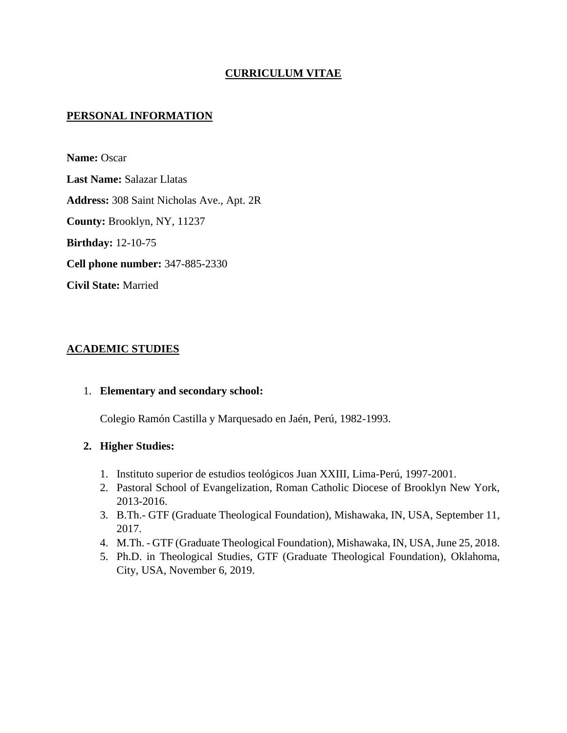# **CURRICULUM VITAE**

## **PERSONAL INFORMATION**

**Name:** Oscar **Last Name:** Salazar Llatas **Address:** 308 Saint Nicholas Ave., Apt. 2R **County:** Brooklyn, NY, 11237 **Birthday:** 12-10-75 **Cell phone number:** 347-885-2330 **Civil State:** Married

## **ACADEMIC STUDIES**

#### 1. **Elementary and secondary school:**

Colegio Ramón Castilla y Marquesado en Jaén, Perú, 1982-1993.

#### **2. Higher Studies:**

- 1. Instituto superior de estudios teológicos Juan XXIII, Lima-Perú, 1997-2001.
- 2. Pastoral School of Evangelization, Roman Catholic Diocese of Brooklyn New York, 2013-2016.
- 3. B.Th.- GTF (Graduate Theological Foundation), Mishawaka, IN, USA, September 11, 2017.
- 4. M.Th. GTF (Graduate Theological Foundation), Mishawaka, IN, USA, June 25, 2018.
- 5. Ph.D. in Theological Studies, GTF (Graduate Theological Foundation), Oklahoma, City, USA, November 6, 2019.